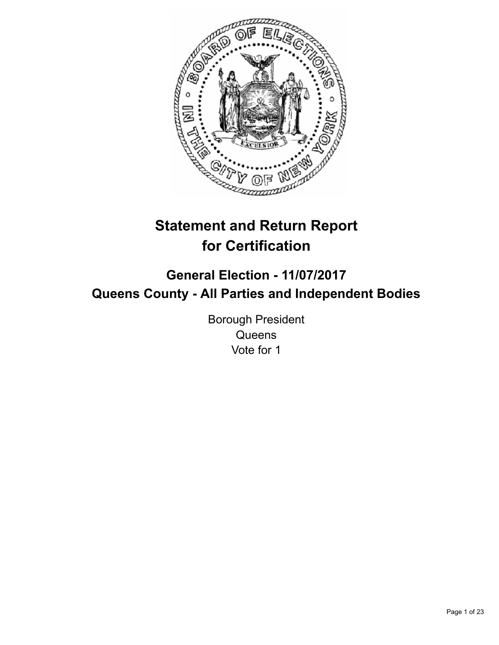

# **Statement and Return Report for Certification**

# **General Election - 11/07/2017 Queens County - All Parties and Independent Bodies**

Borough President **Queens** Vote for 1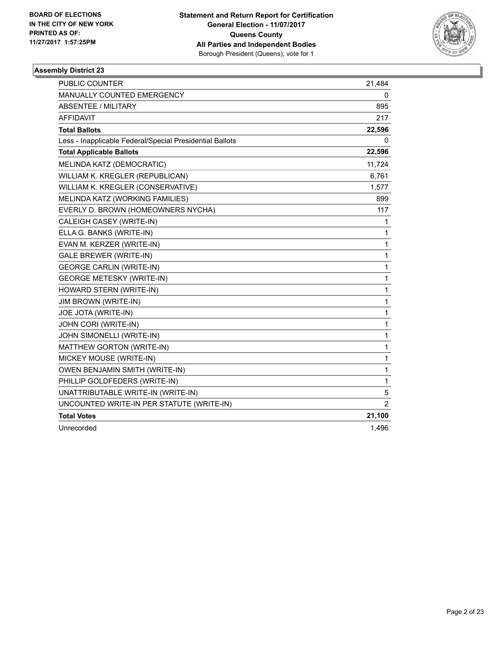

| <b>PUBLIC COUNTER</b>                                    | 21,484         |
|----------------------------------------------------------|----------------|
| MANUALLY COUNTED EMERGENCY                               | 0              |
| <b>ABSENTEE / MILITARY</b>                               | 895            |
| <b>AFFIDAVIT</b>                                         | 217            |
| <b>Total Ballots</b>                                     | 22,596         |
| Less - Inapplicable Federal/Special Presidential Ballots | 0              |
| <b>Total Applicable Ballots</b>                          | 22,596         |
| MELINDA KATZ (DEMOCRATIC)                                | 11,724         |
| WILLIAM K. KREGLER (REPUBLICAN)                          | 6,761          |
| WILLIAM K. KREGLER (CONSERVATIVE)                        | 1,577          |
| MELINDA KATZ (WORKING FAMILIES)                          | 899            |
| EVERLY D. BROWN (HOMEOWNERS NYCHA)                       | 117            |
| CALEIGH CASEY (WRITE-IN)                                 | 1              |
| ELLA G. BANKS (WRITE-IN)                                 | 1              |
| EVAN M. KERZER (WRITE-IN)                                | 1              |
| <b>GALE BREWER (WRITE-IN)</b>                            | 1              |
| <b>GEORGE CARLIN (WRITE-IN)</b>                          | 1              |
| <b>GEORGE METESKY (WRITE-IN)</b>                         | 1              |
| HOWARD STERN (WRITE-IN)                                  | 1              |
| <b>JIM BROWN (WRITE-IN)</b>                              | 1              |
| JOE JOTA (WRITE-IN)                                      | 1              |
| JOHN CORI (WRITE-IN)                                     | 1              |
| JOHN SIMONELLI (WRITE-IN)                                | 1              |
| MATTHEW GORTON (WRITE-IN)                                | 1              |
| MICKEY MOUSE (WRITE-IN)                                  | 1              |
| OWEN BENJAMIN SMITH (WRITE-IN)                           | 1              |
| PHILLIP GOLDFEDERS (WRITE-IN)                            | 1              |
| UNATTRIBUTABLE WRITE-IN (WRITE-IN)                       | 5              |
| UNCOUNTED WRITE-IN PER STATUTE (WRITE-IN)                | $\overline{2}$ |
| <b>Total Votes</b>                                       | 21,100         |
| Unrecorded                                               | 1,496          |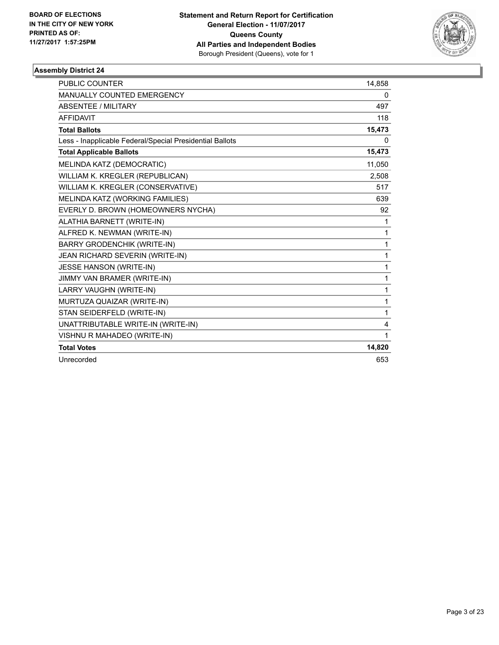

| <b>PUBLIC COUNTER</b>                                    | 14,858      |
|----------------------------------------------------------|-------------|
| <b>MANUALLY COUNTED EMERGENCY</b>                        | 0           |
| <b>ABSENTEE / MILITARY</b>                               | 497         |
| <b>AFFIDAVIT</b>                                         | 118         |
| <b>Total Ballots</b>                                     | 15,473      |
| Less - Inapplicable Federal/Special Presidential Ballots | 0           |
| <b>Total Applicable Ballots</b>                          | 15,473      |
| MELINDA KATZ (DEMOCRATIC)                                | 11,050      |
| WILLIAM K. KREGLER (REPUBLICAN)                          | 2.508       |
| WILLIAM K. KREGLER (CONSERVATIVE)                        | 517         |
| MELINDA KATZ (WORKING FAMILIES)                          | 639         |
| EVERLY D. BROWN (HOMEOWNERS NYCHA)                       | 92          |
| ALATHIA BARNETT (WRITE-IN)                               | 1           |
| ALFRED K. NEWMAN (WRITE-IN)                              | 1           |
| <b>BARRY GRODENCHIK (WRITE-IN)</b>                       | 1           |
| JEAN RICHARD SEVERIN (WRITE-IN)                          | 1           |
| <b>JESSE HANSON (WRITE-IN)</b>                           | 1           |
| JIMMY VAN BRAMER (WRITE-IN)                              | 1           |
| LARRY VAUGHN (WRITE-IN)                                  | 1           |
| MURTUZA QUAIZAR (WRITE-IN)                               | 1           |
| STAN SEIDERFELD (WRITE-IN)                               | 1           |
| UNATTRIBUTABLE WRITE-IN (WRITE-IN)                       | 4           |
| VISHNU R MAHADEO (WRITE-IN)                              | $\mathbf 1$ |
| <b>Total Votes</b>                                       | 14,820      |
| Unrecorded                                               | 653         |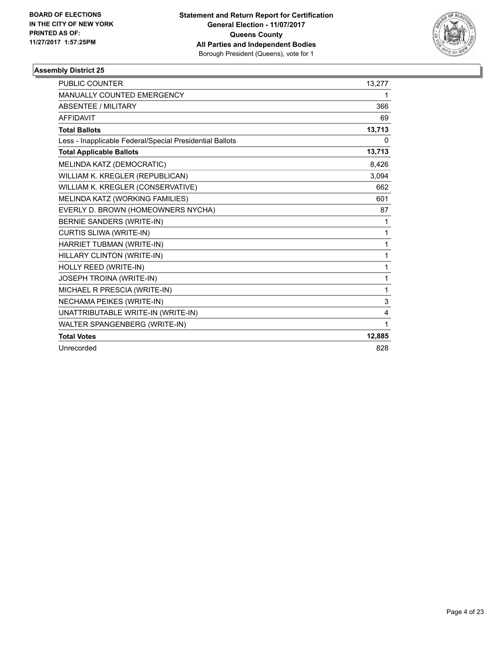

| PUBLIC COUNTER                                           | 13,277   |
|----------------------------------------------------------|----------|
| MANUALLY COUNTED EMERGENCY                               | 1        |
| <b>ABSENTEE / MILITARY</b>                               | 366      |
| <b>AFFIDAVIT</b>                                         | 69       |
| <b>Total Ballots</b>                                     | 13,713   |
| Less - Inapplicable Federal/Special Presidential Ballots | $\Omega$ |
| <b>Total Applicable Ballots</b>                          | 13,713   |
| MELINDA KATZ (DEMOCRATIC)                                | 8,426    |
| WILLIAM K. KREGLER (REPUBLICAN)                          | 3,094    |
| WILLIAM K. KREGLER (CONSERVATIVE)                        | 662      |
| MELINDA KATZ (WORKING FAMILIES)                          | 601      |
| EVERLY D. BROWN (HOMEOWNERS NYCHA)                       | 87       |
| BERNIE SANDERS (WRITE-IN)                                | 1        |
| CURTIS SLIWA (WRITE-IN)                                  | 1        |
| HARRIET TUBMAN (WRITE-IN)                                | 1        |
| HILLARY CLINTON (WRITE-IN)                               | 1        |
| HOLLY REED (WRITE-IN)                                    | 1        |
| JOSEPH TROINA (WRITE-IN)                                 | 1        |
| MICHAEL R PRESCIA (WRITE-IN)                             | 1        |
| NECHAMA PEIKES (WRITE-IN)                                | 3        |
| UNATTRIBUTABLE WRITE-IN (WRITE-IN)                       | 4        |
| WALTER SPANGENBERG (WRITE-IN)                            | 1        |
| <b>Total Votes</b>                                       | 12,885   |
| Unrecorded                                               | 828      |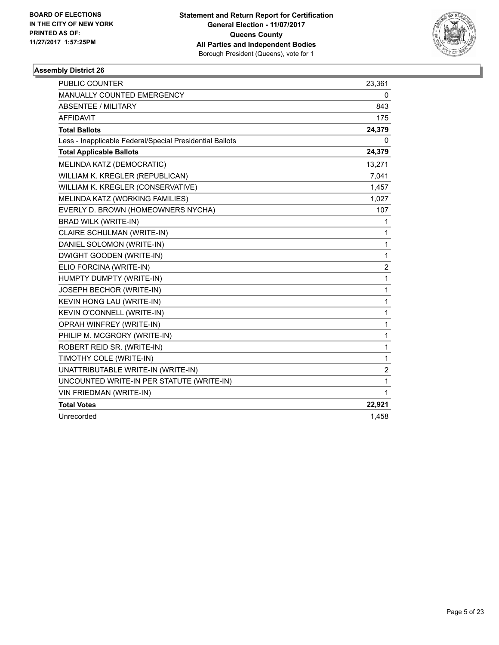

| <b>PUBLIC COUNTER</b>                                    | 23,361                  |
|----------------------------------------------------------|-------------------------|
| <b>MANUALLY COUNTED EMERGENCY</b>                        | 0                       |
| ABSENTEE / MILITARY                                      | 843                     |
| <b>AFFIDAVIT</b>                                         | 175                     |
| <b>Total Ballots</b>                                     | 24,379                  |
| Less - Inapplicable Federal/Special Presidential Ballots | 0                       |
| <b>Total Applicable Ballots</b>                          | 24,379                  |
| MELINDA KATZ (DEMOCRATIC)                                | 13,271                  |
| WILLIAM K. KREGLER (REPUBLICAN)                          | 7,041                   |
| WILLIAM K. KREGLER (CONSERVATIVE)                        | 1,457                   |
| MELINDA KATZ (WORKING FAMILIES)                          | 1,027                   |
| EVERLY D. BROWN (HOMEOWNERS NYCHA)                       | 107                     |
| <b>BRAD WILK (WRITE-IN)</b>                              | 1                       |
| CLAIRE SCHULMAN (WRITE-IN)                               | 1                       |
| DANIEL SOLOMON (WRITE-IN)                                | 1                       |
| DWIGHT GOODEN (WRITE-IN)                                 | 1                       |
| ELIO FORCINA (WRITE-IN)                                  | $\overline{\mathbf{c}}$ |
| HUMPTY DUMPTY (WRITE-IN)                                 | 1                       |
| JOSEPH BECHOR (WRITE-IN)                                 | 1                       |
| KEVIN HONG LAU (WRITE-IN)                                | 1                       |
| KEVIN O'CONNELL (WRITE-IN)                               | 1                       |
| OPRAH WINFREY (WRITE-IN)                                 | 1                       |
| PHILIP M. MCGRORY (WRITE-IN)                             | 1                       |
| ROBERT REID SR. (WRITE-IN)                               | 1                       |
| TIMOTHY COLE (WRITE-IN)                                  | 1                       |
| UNATTRIBUTABLE WRITE-IN (WRITE-IN)                       | $\overline{\mathbf{c}}$ |
| UNCOUNTED WRITE-IN PER STATUTE (WRITE-IN)                | 1                       |
| VIN FRIEDMAN (WRITE-IN)                                  | 1                       |
| <b>Total Votes</b>                                       | 22,921                  |
| Unrecorded                                               | 1,458                   |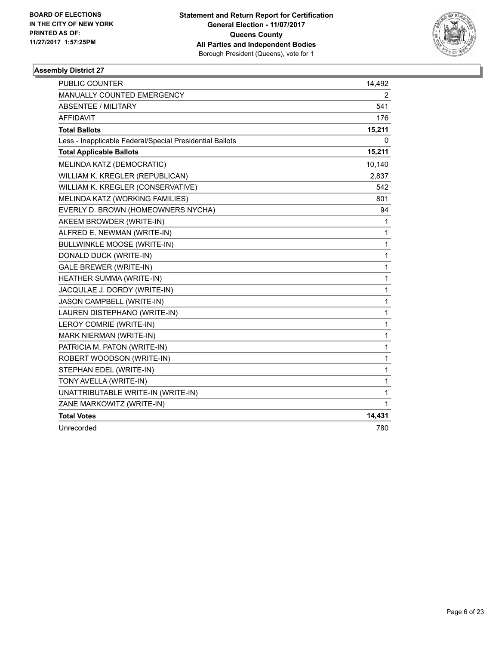

| <b>PUBLIC COUNTER</b>                                    | 14,492       |
|----------------------------------------------------------|--------------|
| MANUALLY COUNTED EMERGENCY                               | 2            |
| ABSENTEE / MILITARY                                      | 541          |
| <b>AFFIDAVIT</b>                                         | 176          |
| <b>Total Ballots</b>                                     | 15,211       |
| Less - Inapplicable Federal/Special Presidential Ballots | 0            |
| <b>Total Applicable Ballots</b>                          | 15,211       |
| MELINDA KATZ (DEMOCRATIC)                                | 10,140       |
| WILLIAM K. KREGLER (REPUBLICAN)                          | 2,837        |
| WILLIAM K. KREGLER (CONSERVATIVE)                        | 542          |
| MELINDA KATZ (WORKING FAMILIES)                          | 801          |
| EVERLY D. BROWN (HOMEOWNERS NYCHA)                       | 94           |
| AKEEM BROWDER (WRITE-IN)                                 | 1            |
| ALFRED E. NEWMAN (WRITE-IN)                              | 1            |
| <b>BULLWINKLE MOOSE (WRITE-IN)</b>                       | $\mathbf{1}$ |
| DONALD DUCK (WRITE-IN)                                   | 1            |
| <b>GALE BREWER (WRITE-IN)</b>                            | $\mathbf{1}$ |
| HEATHER SUMMA (WRITE-IN)                                 | $\mathbf{1}$ |
| JACQULAE J. DORDY (WRITE-IN)                             | $\mathbf{1}$ |
| JASON CAMPBELL (WRITE-IN)                                | 1            |
| LAUREN DISTEPHANO (WRITE-IN)                             | 1            |
| LEROY COMRIE (WRITE-IN)                                  | $\mathbf{1}$ |
| MARK NIERMAN (WRITE-IN)                                  | $\mathbf{1}$ |
| PATRICIA M. PATON (WRITE-IN)                             | $\mathbf{1}$ |
| ROBERT WOODSON (WRITE-IN)                                | 1            |
| STEPHAN EDEL (WRITE-IN)                                  | 1            |
| TONY AVELLA (WRITE-IN)                                   | $\mathbf 1$  |
| UNATTRIBUTABLE WRITE-IN (WRITE-IN)                       | $\mathbf{1}$ |
| ZANE MARKOWITZ (WRITE-IN)                                | 1            |
| <b>Total Votes</b>                                       | 14,431       |
| Unrecorded                                               | 780          |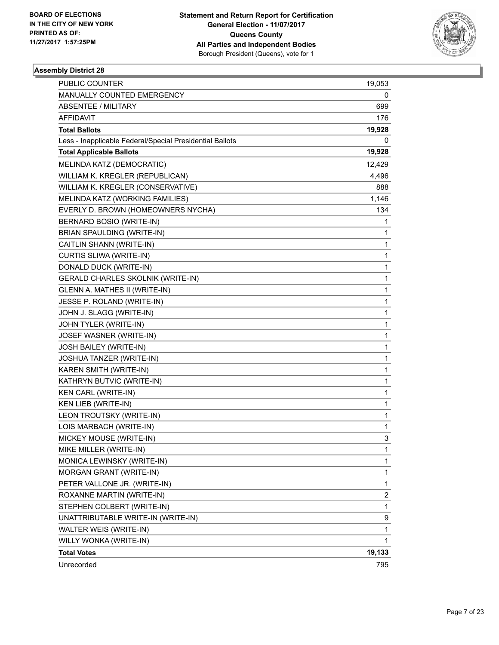

| PUBLIC COUNTER                                           | 19,053 |
|----------------------------------------------------------|--------|
| MANUALLY COUNTED EMERGENCY                               | 0      |
| <b>ABSENTEE / MILITARY</b>                               | 699    |
| AFFIDAVIT                                                | 176    |
| <b>Total Ballots</b>                                     | 19,928 |
| Less - Inapplicable Federal/Special Presidential Ballots | 0      |
| <b>Total Applicable Ballots</b>                          | 19,928 |
| MELINDA KATZ (DEMOCRATIC)                                | 12,429 |
| WILLIAM K. KREGLER (REPUBLICAN)                          | 4,496  |
| WILLIAM K. KREGLER (CONSERVATIVE)                        | 888    |
| MELINDA KATZ (WORKING FAMILIES)                          | 1,146  |
| EVERLY D. BROWN (HOMEOWNERS NYCHA)                       | 134    |
| BERNARD BOSIO (WRITE-IN)                                 | 1      |
| BRIAN SPAULDING (WRITE-IN)                               | 1      |
| CAITLIN SHANN (WRITE-IN)                                 | 1      |
| CURTIS SLIWA (WRITE-IN)                                  | 1      |
| DONALD DUCK (WRITE-IN)                                   | 1      |
| GERALD CHARLES SKOLNIK (WRITE-IN)                        | 1      |
| GLENN A. MATHES II (WRITE-IN)                            | 1      |
| JESSE P. ROLAND (WRITE-IN)                               | 1      |
| JOHN J. SLAGG (WRITE-IN)                                 | 1      |
| JOHN TYLER (WRITE-IN)                                    | 1      |
| JOSEF WASNER (WRITE-IN)                                  | 1      |
| JOSH BAILEY (WRITE-IN)                                   | 1      |
| JOSHUA TANZER (WRITE-IN)                                 | 1      |
| KAREN SMITH (WRITE-IN)                                   | 1      |
| KATHRYN BUTVIC (WRITE-IN)                                | 1      |
| KEN CARL (WRITE-IN)                                      | 1      |
| KEN LIEB (WRITE-IN)                                      | 1      |
| LEON TROUTSKY (WRITE-IN)                                 | 1      |
| LOIS MARBACH (WRITE-IN)                                  | 1      |
| MICKEY MOUSE (WRITE-IN)                                  | 3      |
| MIKE MILLER (WRITE-IN)                                   | 1      |
| MONICA LEWINSKY (WRITE-IN)                               | 1      |
| MORGAN GRANT (WRITE-IN)                                  | 1      |
| PETER VALLONE JR. (WRITE-IN)                             | 1      |
| ROXANNE MARTIN (WRITE-IN)                                | 2      |
| STEPHEN COLBERT (WRITE-IN)                               | 1      |
| UNATTRIBUTABLE WRITE-IN (WRITE-IN)                       | 9      |
| WALTER WEIS (WRITE-IN)                                   | 1      |
| WILLY WONKA (WRITE-IN)                                   | 1      |
| <b>Total Votes</b>                                       | 19,133 |
| Unrecorded                                               | 795    |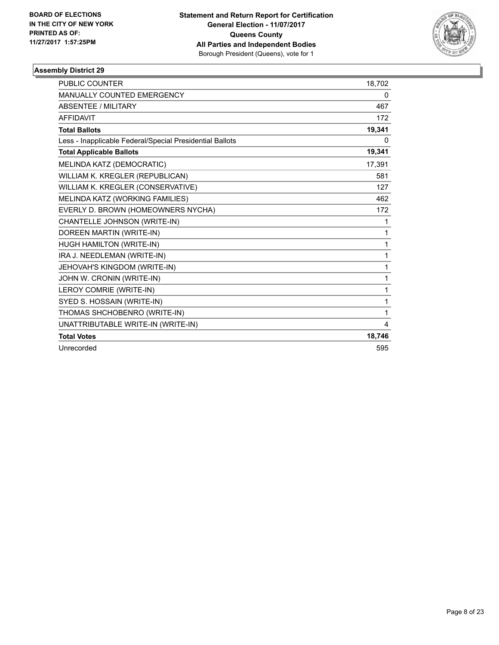

| <b>PUBLIC COUNTER</b>                                    | 18,702       |
|----------------------------------------------------------|--------------|
| <b>MANUALLY COUNTED EMERGENCY</b>                        | 0            |
| <b>ABSENTEE / MILITARY</b>                               | 467          |
| <b>AFFIDAVIT</b>                                         | 172          |
| <b>Total Ballots</b>                                     | 19,341       |
| Less - Inapplicable Federal/Special Presidential Ballots | 0            |
| <b>Total Applicable Ballots</b>                          | 19,341       |
| MELINDA KATZ (DEMOCRATIC)                                | 17,391       |
| WILLIAM K. KREGLER (REPUBLICAN)                          | 581          |
| WILLIAM K. KREGLER (CONSERVATIVE)                        | 127          |
| MELINDA KATZ (WORKING FAMILIES)                          | 462          |
| EVERLY D. BROWN (HOMEOWNERS NYCHA)                       | 172          |
| CHANTELLE JOHNSON (WRITE-IN)                             | 1            |
| DOREEN MARTIN (WRITE-IN)                                 | 1            |
| HUGH HAMILTON (WRITE-IN)                                 | 1            |
| IRA J. NEEDLEMAN (WRITE-IN)                              | 1            |
| JEHOVAH'S KINGDOM (WRITE-IN)                             | 1            |
| JOHN W. CRONIN (WRITE-IN)                                | $\mathbf{1}$ |
| LEROY COMRIE (WRITE-IN)                                  | 1            |
| SYED S. HOSSAIN (WRITE-IN)                               | 1            |
| THOMAS SHCHOBENRO (WRITE-IN)                             | 1            |
| UNATTRIBUTABLE WRITE-IN (WRITE-IN)                       | 4            |
| <b>Total Votes</b>                                       | 18,746       |
| Unrecorded                                               | 595          |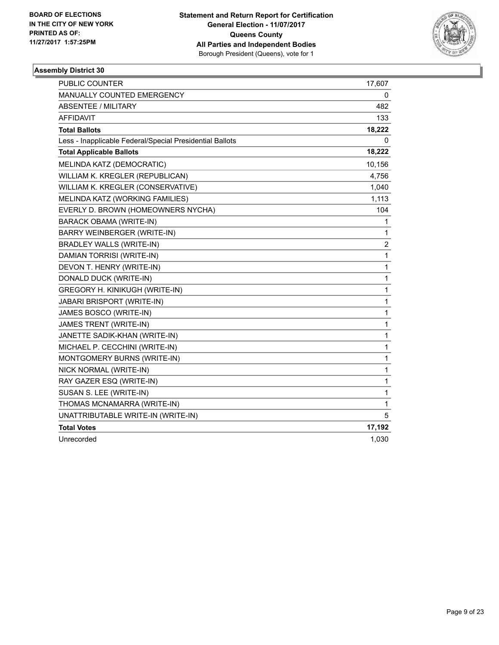

| <b>PUBLIC COUNTER</b>                                    | 17,607         |
|----------------------------------------------------------|----------------|
| MANUALLY COUNTED EMERGENCY                               | 0              |
| ABSENTEE / MILITARY                                      | 482            |
| <b>AFFIDAVIT</b>                                         | 133            |
| <b>Total Ballots</b>                                     | 18,222         |
| Less - Inapplicable Federal/Special Presidential Ballots | 0              |
| <b>Total Applicable Ballots</b>                          | 18,222         |
| MELINDA KATZ (DEMOCRATIC)                                | 10,156         |
| WILLIAM K. KREGLER (REPUBLICAN)                          | 4,756          |
| WILLIAM K. KREGLER (CONSERVATIVE)                        | 1,040          |
| MELINDA KATZ (WORKING FAMILIES)                          | 1,113          |
| EVERLY D. BROWN (HOMEOWNERS NYCHA)                       | 104            |
| <b>BARACK OBAMA (WRITE-IN)</b>                           | 1              |
| BARRY WEINBERGER (WRITE-IN)                              | 1              |
| <b>BRADLEY WALLS (WRITE-IN)</b>                          | $\overline{c}$ |
| DAMIAN TORRISI (WRITE-IN)                                | 1              |
| DEVON T. HENRY (WRITE-IN)                                | 1              |
| DONALD DUCK (WRITE-IN)                                   | 1              |
| GREGORY H. KINIKUGH (WRITE-IN)                           | 1              |
| JABARI BRISPORT (WRITE-IN)                               | 1              |
| JAMES BOSCO (WRITE-IN)                                   | 1              |
| JAMES TRENT (WRITE-IN)                                   | 1              |
| JANETTE SADIK-KHAN (WRITE-IN)                            | 1              |
| MICHAEL P. CECCHINI (WRITE-IN)                           | 1              |
| MONTGOMERY BURNS (WRITE-IN)                              | 1              |
| NICK NORMAL (WRITE-IN)                                   | 1              |
| RAY GAZER ESQ (WRITE-IN)                                 | 1              |
| SUSAN S. LEE (WRITE-IN)                                  | 1              |
| THOMAS MCNAMARRA (WRITE-IN)                              | 1              |
| UNATTRIBUTABLE WRITE-IN (WRITE-IN)                       | 5              |
| <b>Total Votes</b>                                       | 17,192         |
| Unrecorded                                               | 1,030          |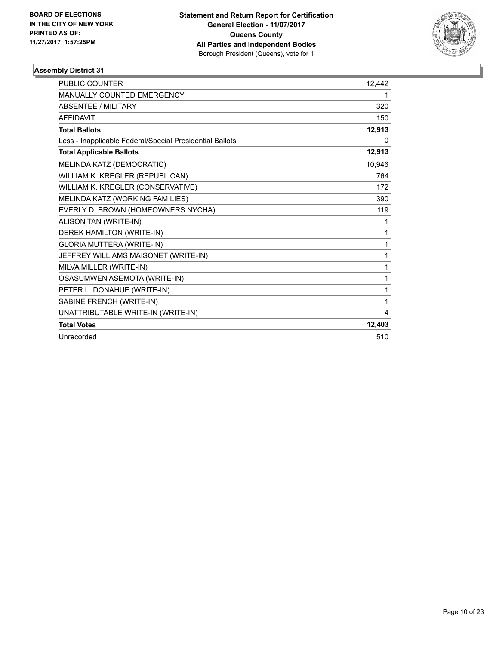

| <b>PUBLIC COUNTER</b>                                    | 12,442 |
|----------------------------------------------------------|--------|
| MANUALLY COUNTED EMERGENCY                               | 1      |
| <b>ABSENTEE / MILITARY</b>                               | 320    |
| <b>AFFIDAVIT</b>                                         | 150    |
| <b>Total Ballots</b>                                     | 12,913 |
| Less - Inapplicable Federal/Special Presidential Ballots | 0      |
| <b>Total Applicable Ballots</b>                          | 12,913 |
| MELINDA KATZ (DEMOCRATIC)                                | 10,946 |
| WILLIAM K. KREGLER (REPUBLICAN)                          | 764    |
| WILLIAM K. KREGLER (CONSERVATIVE)                        | 172    |
| MELINDA KATZ (WORKING FAMILIES)                          | 390    |
| EVERLY D. BROWN (HOMEOWNERS NYCHA)                       | 119    |
| ALISON TAN (WRITE-IN)                                    | 1      |
| DEREK HAMILTON (WRITE-IN)                                | 1      |
| <b>GLORIA MUTTERA (WRITE-IN)</b>                         | 1      |
| JEFFREY WILLIAMS MAISONET (WRITE-IN)                     | 1      |
| MILVA MILLER (WRITE-IN)                                  | 1      |
| OSASUMWEN ASEMOTA (WRITE-IN)                             | 1      |
| PETER L. DONAHUE (WRITE-IN)                              | 1      |
| SABINE FRENCH (WRITE-IN)                                 | 1      |
| UNATTRIBUTABLE WRITE-IN (WRITE-IN)                       | 4      |
| <b>Total Votes</b>                                       | 12,403 |
| Unrecorded                                               | 510    |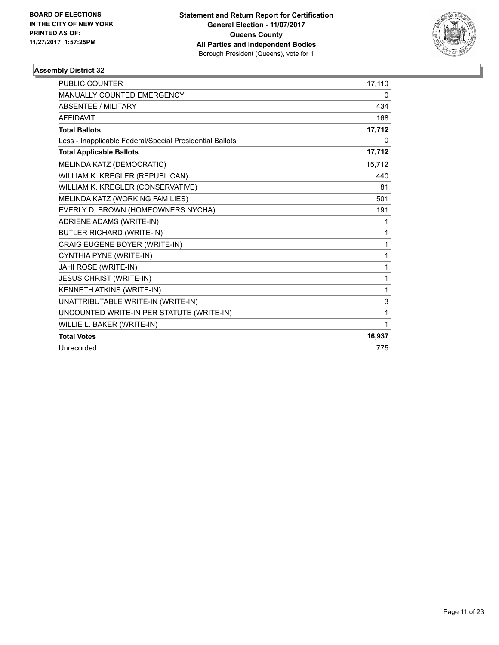

| <b>PUBLIC COUNTER</b>                                    | 17,110 |
|----------------------------------------------------------|--------|
| <b>MANUALLY COUNTED EMERGENCY</b>                        | 0      |
| <b>ABSENTEE / MILITARY</b>                               | 434    |
| <b>AFFIDAVIT</b>                                         | 168    |
| <b>Total Ballots</b>                                     | 17,712 |
| Less - Inapplicable Federal/Special Presidential Ballots | 0      |
| <b>Total Applicable Ballots</b>                          | 17,712 |
| MELINDA KATZ (DEMOCRATIC)                                | 15,712 |
| WILLIAM K. KREGLER (REPUBLICAN)                          | 440    |
| WILLIAM K. KREGLER (CONSERVATIVE)                        | 81     |
| MELINDA KATZ (WORKING FAMILIES)                          | 501    |
| EVERLY D. BROWN (HOMEOWNERS NYCHA)                       | 191    |
| ADRIENE ADAMS (WRITE-IN)                                 | 1      |
| <b>BUTLER RICHARD (WRITE-IN)</b>                         | 1      |
| CRAIG EUGENE BOYER (WRITE-IN)                            | 1      |
| CYNTHIA PYNE (WRITE-IN)                                  | 1      |
| JAHI ROSE (WRITE-IN)                                     | 1      |
| <b>JESUS CHRIST (WRITE-IN)</b>                           | 1      |
| KENNETH ATKINS (WRITE-IN)                                | 1      |
| UNATTRIBUTABLE WRITE-IN (WRITE-IN)                       | 3      |
| UNCOUNTED WRITE-IN PER STATUTE (WRITE-IN)                | 1      |
| WILLIE L. BAKER (WRITE-IN)                               | 1      |
| <b>Total Votes</b>                                       | 16,937 |
| Unrecorded                                               | 775    |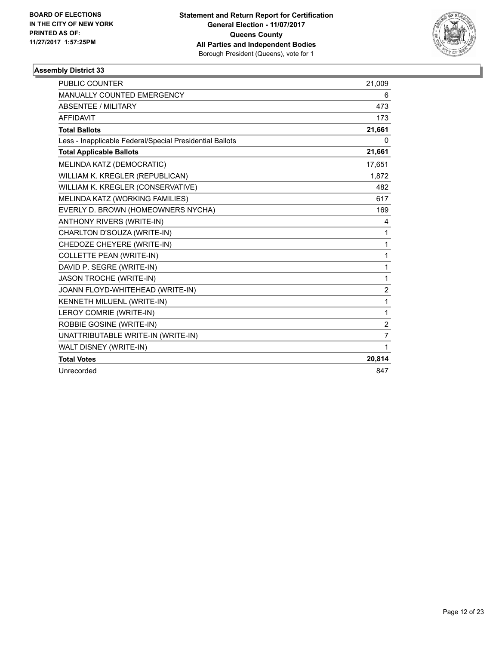

| <b>PUBLIC COUNTER</b>                                    | 21,009         |
|----------------------------------------------------------|----------------|
| MANUALLY COUNTED EMERGENCY                               | 6              |
| <b>ABSENTEE / MILITARY</b>                               | 473            |
| <b>AFFIDAVIT</b>                                         | 173            |
| <b>Total Ballots</b>                                     | 21,661         |
| Less - Inapplicable Federal/Special Presidential Ballots | 0              |
| <b>Total Applicable Ballots</b>                          | 21,661         |
| MELINDA KATZ (DEMOCRATIC)                                | 17,651         |
| WILLIAM K. KREGLER (REPUBLICAN)                          | 1,872          |
| WILLIAM K. KREGLER (CONSERVATIVE)                        | 482            |
| MELINDA KATZ (WORKING FAMILIES)                          | 617            |
| EVERLY D. BROWN (HOMEOWNERS NYCHA)                       | 169            |
| <b>ANTHONY RIVERS (WRITE-IN)</b>                         | 4              |
| CHARLTON D'SOUZA (WRITE-IN)                              | 1              |
| CHEDOZE CHEYERE (WRITE-IN)                               | 1              |
| <b>COLLETTE PEAN (WRITE-IN)</b>                          | 1              |
| DAVID P. SEGRE (WRITE-IN)                                | 1              |
| <b>JASON TROCHE (WRITE-IN)</b>                           | 1              |
| JOANN FLOYD-WHITEHEAD (WRITE-IN)                         | $\overline{2}$ |
| KENNETH MILUENL (WRITE-IN)                               | 1              |
| LEROY COMRIE (WRITE-IN)                                  | 1              |
| ROBBIE GOSINE (WRITE-IN)                                 | 2              |
| UNATTRIBUTABLE WRITE-IN (WRITE-IN)                       | $\overline{7}$ |
| WALT DISNEY (WRITE-IN)                                   | 1              |
| <b>Total Votes</b>                                       | 20,814         |
| Unrecorded                                               | 847            |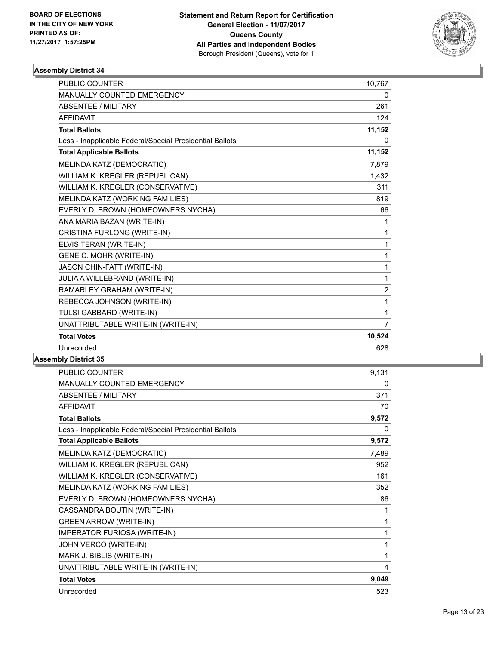

| <b>PUBLIC COUNTER</b>                                    | 10,767         |
|----------------------------------------------------------|----------------|
| MANUALLY COUNTED EMERGENCY                               | 0              |
| ABSENTEE / MILITARY                                      | 261            |
| <b>AFFIDAVIT</b>                                         | 124            |
| <b>Total Ballots</b>                                     | 11,152         |
| Less - Inapplicable Federal/Special Presidential Ballots | 0              |
| <b>Total Applicable Ballots</b>                          | 11,152         |
| MELINDA KATZ (DEMOCRATIC)                                | 7,879          |
| WILLIAM K. KREGLER (REPUBLICAN)                          | 1,432          |
| WILLIAM K. KREGLER (CONSERVATIVE)                        | 311            |
| MELINDA KATZ (WORKING FAMILIES)                          | 819            |
| EVERLY D. BROWN (HOMEOWNERS NYCHA)                       | 66             |
| ANA MARIA BAZAN (WRITE-IN)                               | 1              |
| CRISTINA FURLONG (WRITE-IN)                              | $\mathbf 1$    |
| ELVIS TERAN (WRITE-IN)                                   | 1              |
| GENE C. MOHR (WRITE-IN)                                  | 1              |
| JASON CHIN-FATT (WRITE-IN)                               | $\mathbf{1}$   |
| JULIA A WILLEBRAND (WRITE-IN)                            | 1              |
| RAMARLEY GRAHAM (WRITE-IN)                               | 2              |
| REBECCA JOHNSON (WRITE-IN)                               | 1              |
| TULSI GABBARD (WRITE-IN)                                 | 1              |
| UNATTRIBUTABLE WRITE-IN (WRITE-IN)                       | $\overline{7}$ |
| <b>Total Votes</b>                                       | 10,524         |
| Unrecorded                                               | 628            |

| PUBLIC COUNTER                                           | 9,131 |
|----------------------------------------------------------|-------|
| <b>MANUALLY COUNTED EMERGENCY</b>                        | 0     |
| ABSENTEE / MILITARY                                      | 371   |
| <b>AFFIDAVIT</b>                                         | 70    |
| <b>Total Ballots</b>                                     | 9,572 |
| Less - Inapplicable Federal/Special Presidential Ballots | 0     |
| <b>Total Applicable Ballots</b>                          | 9,572 |
| MELINDA KATZ (DEMOCRATIC)                                | 7,489 |
| WILLIAM K. KREGLER (REPUBLICAN)                          | 952   |
| WILLIAM K. KREGLER (CONSERVATIVE)                        | 161   |
| MELINDA KATZ (WORKING FAMILIES)                          | 352   |
| EVERLY D. BROWN (HOMEOWNERS NYCHA)                       | 86    |
| CASSANDRA BOUTIN (WRITE-IN)                              | 1     |
| <b>GREEN ARROW (WRITE-IN)</b>                            | 1     |
| IMPERATOR FURIOSA (WRITE-IN)                             | 1     |
| JOHN VERCO (WRITE-IN)                                    | 1     |
| MARK J. BIBLIS (WRITE-IN)                                | 1     |
| UNATTRIBUTABLE WRITE-IN (WRITE-IN)                       | 4     |
| <b>Total Votes</b>                                       | 9,049 |
| Unrecorded                                               | 523   |
|                                                          |       |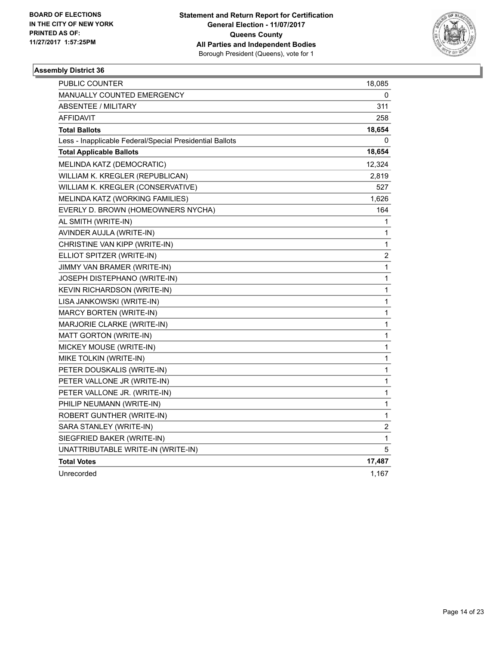

| PUBLIC COUNTER                                           | 18,085       |
|----------------------------------------------------------|--------------|
| MANUALLY COUNTED EMERGENCY                               | 0            |
| <b>ABSENTEE / MILITARY</b>                               | 311          |
| <b>AFFIDAVIT</b>                                         | 258          |
| <b>Total Ballots</b>                                     | 18,654       |
| Less - Inapplicable Federal/Special Presidential Ballots | 0            |
| <b>Total Applicable Ballots</b>                          | 18,654       |
| MELINDA KATZ (DEMOCRATIC)                                | 12,324       |
| WILLIAM K. KREGLER (REPUBLICAN)                          | 2,819        |
| WILLIAM K. KREGLER (CONSERVATIVE)                        | 527          |
| MELINDA KATZ (WORKING FAMILIES)                          | 1,626        |
| EVERLY D. BROWN (HOMEOWNERS NYCHA)                       | 164          |
| AL SMITH (WRITE-IN)                                      | 1            |
| AVINDER AUJLA (WRITE-IN)                                 | 1            |
| CHRISTINE VAN KIPP (WRITE-IN)                            | $\mathbf{1}$ |
| ELLIOT SPITZER (WRITE-IN)                                | 2            |
| JIMMY VAN BRAMER (WRITE-IN)                              | $\mathbf{1}$ |
| JOSEPH DISTEPHANO (WRITE-IN)                             | 1            |
| <b>KEVIN RICHARDSON (WRITE-IN)</b>                       | 1            |
| LISA JANKOWSKI (WRITE-IN)                                | 1            |
| <b>MARCY BORTEN (WRITE-IN)</b>                           | 1            |
| MARJORIE CLARKE (WRITE-IN)                               | 1            |
| MATT GORTON (WRITE-IN)                                   | $\mathbf{1}$ |
| MICKEY MOUSE (WRITE-IN)                                  | 1            |
| MIKE TOLKIN (WRITE-IN)                                   | 1            |
| PETER DOUSKALIS (WRITE-IN)                               | 1            |
| PETER VALLONE JR (WRITE-IN)                              | 1            |
| PETER VALLONE JR. (WRITE-IN)                             | 1            |
| PHILIP NEUMANN (WRITE-IN)                                | 1            |
| ROBERT GUNTHER (WRITE-IN)                                | $\mathbf{1}$ |
| SARA STANLEY (WRITE-IN)                                  | 2            |
| SIEGFRIED BAKER (WRITE-IN)                               | 1            |
| UNATTRIBUTABLE WRITE-IN (WRITE-IN)                       | 5            |
| <b>Total Votes</b>                                       | 17,487       |
| Unrecorded                                               | 1,167        |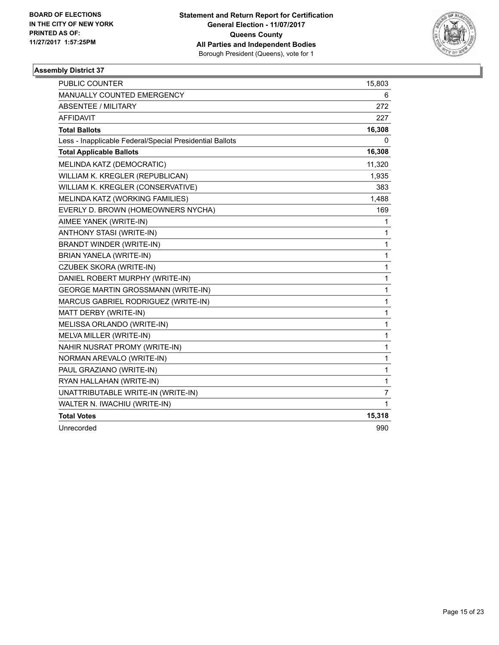

| <b>PUBLIC COUNTER</b>                                    | 15,803         |
|----------------------------------------------------------|----------------|
| MANUALLY COUNTED EMERGENCY                               | 6              |
| <b>ABSENTEE / MILITARY</b>                               | 272            |
| <b>AFFIDAVIT</b>                                         | 227            |
| <b>Total Ballots</b>                                     | 16,308         |
| Less - Inapplicable Federal/Special Presidential Ballots | 0              |
| <b>Total Applicable Ballots</b>                          | 16,308         |
| MELINDA KATZ (DEMOCRATIC)                                | 11,320         |
| WILLIAM K. KREGLER (REPUBLICAN)                          | 1,935          |
| WILLIAM K. KREGLER (CONSERVATIVE)                        | 383            |
| MELINDA KATZ (WORKING FAMILIES)                          | 1,488          |
| EVERLY D. BROWN (HOMEOWNERS NYCHA)                       | 169            |
| AIMEE YANEK (WRITE-IN)                                   | 1              |
| ANTHONY STASI (WRITE-IN)                                 | 1              |
| BRANDT WINDER (WRITE-IN)                                 | 1              |
| BRIAN YANELA (WRITE-IN)                                  | 1              |
| CZUBEK SKORA (WRITE-IN)                                  | $\mathbf{1}$   |
| DANIEL ROBERT MURPHY (WRITE-IN)                          | $\mathbf{1}$   |
| <b>GEORGE MARTIN GROSSMANN (WRITE-IN)</b>                | $\mathbf{1}$   |
| MARCUS GABRIEL RODRIGUEZ (WRITE-IN)                      | 1              |
| MATT DERBY (WRITE-IN)                                    | 1              |
| MELISSA ORLANDO (WRITE-IN)                               | $\mathbf 1$    |
| MELVA MILLER (WRITE-IN)                                  | $\mathbf{1}$   |
| NAHIR NUSRAT PROMY (WRITE-IN)                            | $\mathbf 1$    |
| NORMAN AREVALO (WRITE-IN)                                | 1              |
| PAUL GRAZIANO (WRITE-IN)                                 | 1              |
| RYAN HALLAHAN (WRITE-IN)                                 | $\mathbf 1$    |
| UNATTRIBUTABLE WRITE-IN (WRITE-IN)                       | $\overline{7}$ |
| WALTER N. IWACHIU (WRITE-IN)                             | $\mathbf{1}$   |
| <b>Total Votes</b>                                       | 15,318         |
| Unrecorded                                               | 990            |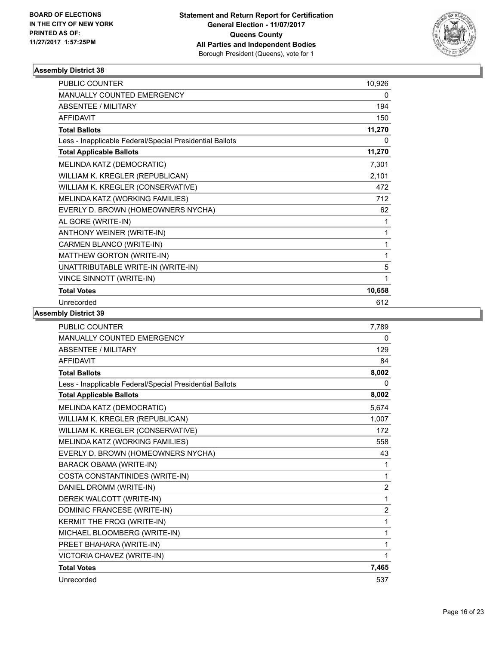

| <b>PUBLIC COUNTER</b>                                    | 10,926 |
|----------------------------------------------------------|--------|
| <b>MANUALLY COUNTED EMERGENCY</b>                        | 0      |
| <b>ABSENTEE / MILITARY</b>                               | 194    |
| <b>AFFIDAVIT</b>                                         | 150    |
| <b>Total Ballots</b>                                     | 11,270 |
| Less - Inapplicable Federal/Special Presidential Ballots | 0      |
| <b>Total Applicable Ballots</b>                          | 11,270 |
| MELINDA KATZ (DEMOCRATIC)                                | 7,301  |
| WILLIAM K. KREGLER (REPUBLICAN)                          | 2,101  |
| WILLIAM K. KREGLER (CONSERVATIVE)                        | 472    |
| MELINDA KATZ (WORKING FAMILIES)                          | 712    |
| EVERLY D. BROWN (HOMEOWNERS NYCHA)                       | 62     |
| AL GORE (WRITE-IN)                                       | 1      |
| ANTHONY WEINER (WRITE-IN)                                | 1      |
| CARMEN BLANCO (WRITE-IN)                                 | 1      |
| MATTHEW GORTON (WRITE-IN)                                | 1      |
| UNATTRIBUTABLE WRITE-IN (WRITE-IN)                       | 5      |
| VINCE SINNOTT (WRITE-IN)                                 | 1      |
| <b>Total Votes</b>                                       | 10,658 |
| Unrecorded                                               | 612    |

| <b>PUBLIC COUNTER</b>                                    | 7,789          |
|----------------------------------------------------------|----------------|
| MANUALLY COUNTED EMERGENCY                               | 0              |
| ABSENTEE / MILITARY                                      | 129            |
| <b>AFFIDAVIT</b>                                         | 84             |
| <b>Total Ballots</b>                                     | 8,002          |
| Less - Inapplicable Federal/Special Presidential Ballots | 0              |
| <b>Total Applicable Ballots</b>                          | 8,002          |
| MELINDA KATZ (DEMOCRATIC)                                | 5,674          |
| WILLIAM K. KREGLER (REPUBLICAN)                          | 1,007          |
| WILLIAM K. KREGLER (CONSERVATIVE)                        | 172            |
| MELINDA KATZ (WORKING FAMILIES)                          | 558            |
| EVERLY D. BROWN (HOMEOWNERS NYCHA)                       | 43             |
| <b>BARACK OBAMA (WRITE-IN)</b>                           | 1              |
| COSTA CONSTANTINIDES (WRITE-IN)                          | 1              |
| DANIEL DROMM (WRITE-IN)                                  | $\overline{2}$ |
| DEREK WALCOTT (WRITE-IN)                                 | 1              |
| DOMINIC FRANCESE (WRITE-IN)                              | $\overline{2}$ |
| KERMIT THE FROG (WRITE-IN)                               | 1              |
| MICHAEL BLOOMBERG (WRITE-IN)                             | 1              |
| PREET BHAHARA (WRITE-IN)                                 | 1              |
| VICTORIA CHAVEZ (WRITE-IN)                               | 1              |
| <b>Total Votes</b>                                       | 7,465          |
| Unrecorded                                               | 537            |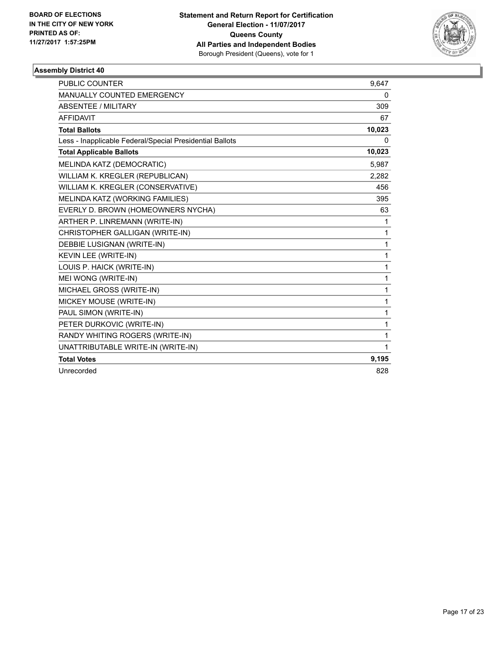

| <b>PUBLIC COUNTER</b>                                    | 9.647  |
|----------------------------------------------------------|--------|
| MANUALLY COUNTED EMERGENCY                               | 0      |
| <b>ABSENTEE / MILITARY</b>                               | 309    |
| <b>AFFIDAVIT</b>                                         | 67     |
| <b>Total Ballots</b>                                     | 10,023 |
| Less - Inapplicable Federal/Special Presidential Ballots | 0      |
| <b>Total Applicable Ballots</b>                          | 10,023 |
| MELINDA KATZ (DEMOCRATIC)                                | 5,987  |
| WILLIAM K. KREGLER (REPUBLICAN)                          | 2,282  |
| WILLIAM K. KREGLER (CONSERVATIVE)                        | 456    |
| MELINDA KATZ (WORKING FAMILIES)                          | 395    |
| EVERLY D. BROWN (HOMEOWNERS NYCHA)                       | 63     |
| ARTHER P. LINREMANN (WRITE-IN)                           | 1      |
| CHRISTOPHER GALLIGAN (WRITE-IN)                          | 1      |
| DEBBIE LUSIGNAN (WRITE-IN)                               | 1      |
| KEVIN LEE (WRITE-IN)                                     | 1      |
| LOUIS P. HAICK (WRITE-IN)                                | 1      |
| MEI WONG (WRITE-IN)                                      | 1      |
| MICHAEL GROSS (WRITE-IN)                                 | 1      |
| MICKEY MOUSE (WRITE-IN)                                  | 1      |
| PAUL SIMON (WRITE-IN)                                    | 1      |
| PETER DURKOVIC (WRITE-IN)                                | 1      |
| RANDY WHITING ROGERS (WRITE-IN)                          | 1      |
| UNATTRIBUTABLE WRITE-IN (WRITE-IN)                       | 1      |
| <b>Total Votes</b>                                       | 9,195  |
| Unrecorded                                               | 828    |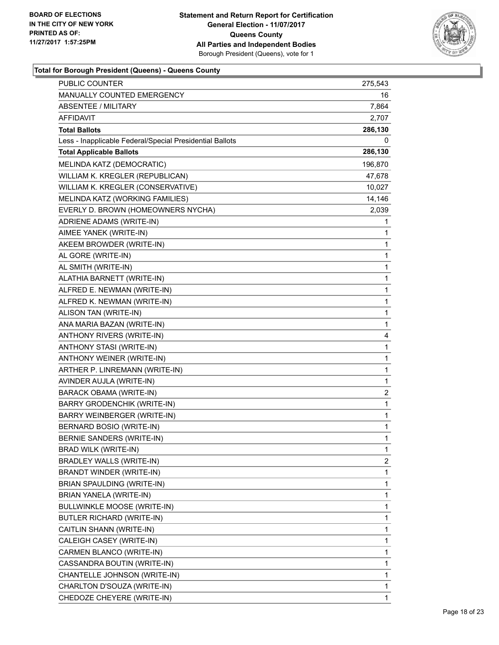

| MANUALLY COUNTED EMERGENCY<br>16<br><b>ABSENTEE / MILITARY</b><br>7,864<br>AFFIDAVIT<br>2,707<br><b>Total Ballots</b><br>286,130<br>Less - Inapplicable Federal/Special Presidential Ballots<br>0<br><b>Total Applicable Ballots</b><br>286,130<br>MELINDA KATZ (DEMOCRATIC)<br>196,870<br>WILLIAM K. KREGLER (REPUBLICAN)<br>47,678<br>WILLIAM K. KREGLER (CONSERVATIVE)<br>10,027<br>MELINDA KATZ (WORKING FAMILIES)<br>14,146<br>EVERLY D. BROWN (HOMEOWNERS NYCHA)<br>2,039<br>ADRIENE ADAMS (WRITE-IN)<br>1<br>AIMEE YANEK (WRITE-IN)<br>1<br>AKEEM BROWDER (WRITE-IN)<br>1<br>$\mathbf{1}$<br>AL GORE (WRITE-IN)<br>AL SMITH (WRITE-IN)<br>1<br>ALATHIA BARNETT (WRITE-IN)<br>1<br>$\mathbf{1}$<br>ALFRED E. NEWMAN (WRITE-IN)<br>ALFRED K. NEWMAN (WRITE-IN)<br>1<br>$\mathbf 1$<br>ALISON TAN (WRITE-IN)<br>$\mathbf{1}$<br>ANA MARIA BAZAN (WRITE-IN)<br>ANTHONY RIVERS (WRITE-IN)<br>4<br>ANTHONY STASI (WRITE-IN)<br>1<br>ANTHONY WEINER (WRITE-IN)<br>$\mathbf{1}$<br>ARTHER P. LINREMANN (WRITE-IN)<br>1<br>AVINDER AUJLA (WRITE-IN)<br>1<br>2<br><b>BARACK OBAMA (WRITE-IN)</b><br><b>BARRY GRODENCHIK (WRITE-IN)</b><br>1<br>BARRY WEINBERGER (WRITE-IN)<br>1<br>BERNARD BOSIO (WRITE-IN)<br>1<br>BERNIE SANDERS (WRITE-IN)<br>1<br>BRAD WILK (WRITE-IN)<br>1<br><b>BRADLEY WALLS (WRITE-IN)</b><br>2<br>BRANDT WINDER (WRITE-IN)<br>1<br>BRIAN SPAULDING (WRITE-IN)<br>1<br>BRIAN YANELA (WRITE-IN)<br>1<br>BULLWINKLE MOOSE (WRITE-IN)<br>1<br>1<br>BUTLER RICHARD (WRITE-IN)<br>CAITLIN SHANN (WRITE-IN)<br>1<br>CALEIGH CASEY (WRITE-IN)<br>1<br>CARMEN BLANCO (WRITE-IN)<br>1<br>CASSANDRA BOUTIN (WRITE-IN)<br>1<br>CHANTELLE JOHNSON (WRITE-IN)<br>1<br>CHARLTON D'SOUZA (WRITE-IN)<br>1 | <b>PUBLIC COUNTER</b>      | 275,543 |
|----------------------------------------------------------------------------------------------------------------------------------------------------------------------------------------------------------------------------------------------------------------------------------------------------------------------------------------------------------------------------------------------------------------------------------------------------------------------------------------------------------------------------------------------------------------------------------------------------------------------------------------------------------------------------------------------------------------------------------------------------------------------------------------------------------------------------------------------------------------------------------------------------------------------------------------------------------------------------------------------------------------------------------------------------------------------------------------------------------------------------------------------------------------------------------------------------------------------------------------------------------------------------------------------------------------------------------------------------------------------------------------------------------------------------------------------------------------------------------------------------------------------------------------------------------------------------------------------------------------------------------------------------------------------------------------------------------------|----------------------------|---------|
|                                                                                                                                                                                                                                                                                                                                                                                                                                                                                                                                                                                                                                                                                                                                                                                                                                                                                                                                                                                                                                                                                                                                                                                                                                                                                                                                                                                                                                                                                                                                                                                                                                                                                                                |                            |         |
|                                                                                                                                                                                                                                                                                                                                                                                                                                                                                                                                                                                                                                                                                                                                                                                                                                                                                                                                                                                                                                                                                                                                                                                                                                                                                                                                                                                                                                                                                                                                                                                                                                                                                                                |                            |         |
|                                                                                                                                                                                                                                                                                                                                                                                                                                                                                                                                                                                                                                                                                                                                                                                                                                                                                                                                                                                                                                                                                                                                                                                                                                                                                                                                                                                                                                                                                                                                                                                                                                                                                                                |                            |         |
|                                                                                                                                                                                                                                                                                                                                                                                                                                                                                                                                                                                                                                                                                                                                                                                                                                                                                                                                                                                                                                                                                                                                                                                                                                                                                                                                                                                                                                                                                                                                                                                                                                                                                                                |                            |         |
|                                                                                                                                                                                                                                                                                                                                                                                                                                                                                                                                                                                                                                                                                                                                                                                                                                                                                                                                                                                                                                                                                                                                                                                                                                                                                                                                                                                                                                                                                                                                                                                                                                                                                                                |                            |         |
|                                                                                                                                                                                                                                                                                                                                                                                                                                                                                                                                                                                                                                                                                                                                                                                                                                                                                                                                                                                                                                                                                                                                                                                                                                                                                                                                                                                                                                                                                                                                                                                                                                                                                                                |                            |         |
|                                                                                                                                                                                                                                                                                                                                                                                                                                                                                                                                                                                                                                                                                                                                                                                                                                                                                                                                                                                                                                                                                                                                                                                                                                                                                                                                                                                                                                                                                                                                                                                                                                                                                                                |                            |         |
|                                                                                                                                                                                                                                                                                                                                                                                                                                                                                                                                                                                                                                                                                                                                                                                                                                                                                                                                                                                                                                                                                                                                                                                                                                                                                                                                                                                                                                                                                                                                                                                                                                                                                                                |                            |         |
|                                                                                                                                                                                                                                                                                                                                                                                                                                                                                                                                                                                                                                                                                                                                                                                                                                                                                                                                                                                                                                                                                                                                                                                                                                                                                                                                                                                                                                                                                                                                                                                                                                                                                                                |                            |         |
|                                                                                                                                                                                                                                                                                                                                                                                                                                                                                                                                                                                                                                                                                                                                                                                                                                                                                                                                                                                                                                                                                                                                                                                                                                                                                                                                                                                                                                                                                                                                                                                                                                                                                                                |                            |         |
|                                                                                                                                                                                                                                                                                                                                                                                                                                                                                                                                                                                                                                                                                                                                                                                                                                                                                                                                                                                                                                                                                                                                                                                                                                                                                                                                                                                                                                                                                                                                                                                                                                                                                                                |                            |         |
|                                                                                                                                                                                                                                                                                                                                                                                                                                                                                                                                                                                                                                                                                                                                                                                                                                                                                                                                                                                                                                                                                                                                                                                                                                                                                                                                                                                                                                                                                                                                                                                                                                                                                                                |                            |         |
|                                                                                                                                                                                                                                                                                                                                                                                                                                                                                                                                                                                                                                                                                                                                                                                                                                                                                                                                                                                                                                                                                                                                                                                                                                                                                                                                                                                                                                                                                                                                                                                                                                                                                                                |                            |         |
|                                                                                                                                                                                                                                                                                                                                                                                                                                                                                                                                                                                                                                                                                                                                                                                                                                                                                                                                                                                                                                                                                                                                                                                                                                                                                                                                                                                                                                                                                                                                                                                                                                                                                                                |                            |         |
|                                                                                                                                                                                                                                                                                                                                                                                                                                                                                                                                                                                                                                                                                                                                                                                                                                                                                                                                                                                                                                                                                                                                                                                                                                                                                                                                                                                                                                                                                                                                                                                                                                                                                                                |                            |         |
|                                                                                                                                                                                                                                                                                                                                                                                                                                                                                                                                                                                                                                                                                                                                                                                                                                                                                                                                                                                                                                                                                                                                                                                                                                                                                                                                                                                                                                                                                                                                                                                                                                                                                                                |                            |         |
|                                                                                                                                                                                                                                                                                                                                                                                                                                                                                                                                                                                                                                                                                                                                                                                                                                                                                                                                                                                                                                                                                                                                                                                                                                                                                                                                                                                                                                                                                                                                                                                                                                                                                                                |                            |         |
|                                                                                                                                                                                                                                                                                                                                                                                                                                                                                                                                                                                                                                                                                                                                                                                                                                                                                                                                                                                                                                                                                                                                                                                                                                                                                                                                                                                                                                                                                                                                                                                                                                                                                                                |                            |         |
|                                                                                                                                                                                                                                                                                                                                                                                                                                                                                                                                                                                                                                                                                                                                                                                                                                                                                                                                                                                                                                                                                                                                                                                                                                                                                                                                                                                                                                                                                                                                                                                                                                                                                                                |                            |         |
|                                                                                                                                                                                                                                                                                                                                                                                                                                                                                                                                                                                                                                                                                                                                                                                                                                                                                                                                                                                                                                                                                                                                                                                                                                                                                                                                                                                                                                                                                                                                                                                                                                                                                                                |                            |         |
|                                                                                                                                                                                                                                                                                                                                                                                                                                                                                                                                                                                                                                                                                                                                                                                                                                                                                                                                                                                                                                                                                                                                                                                                                                                                                                                                                                                                                                                                                                                                                                                                                                                                                                                |                            |         |
|                                                                                                                                                                                                                                                                                                                                                                                                                                                                                                                                                                                                                                                                                                                                                                                                                                                                                                                                                                                                                                                                                                                                                                                                                                                                                                                                                                                                                                                                                                                                                                                                                                                                                                                |                            |         |
|                                                                                                                                                                                                                                                                                                                                                                                                                                                                                                                                                                                                                                                                                                                                                                                                                                                                                                                                                                                                                                                                                                                                                                                                                                                                                                                                                                                                                                                                                                                                                                                                                                                                                                                |                            |         |
|                                                                                                                                                                                                                                                                                                                                                                                                                                                                                                                                                                                                                                                                                                                                                                                                                                                                                                                                                                                                                                                                                                                                                                                                                                                                                                                                                                                                                                                                                                                                                                                                                                                                                                                |                            |         |
|                                                                                                                                                                                                                                                                                                                                                                                                                                                                                                                                                                                                                                                                                                                                                                                                                                                                                                                                                                                                                                                                                                                                                                                                                                                                                                                                                                                                                                                                                                                                                                                                                                                                                                                |                            |         |
|                                                                                                                                                                                                                                                                                                                                                                                                                                                                                                                                                                                                                                                                                                                                                                                                                                                                                                                                                                                                                                                                                                                                                                                                                                                                                                                                                                                                                                                                                                                                                                                                                                                                                                                |                            |         |
|                                                                                                                                                                                                                                                                                                                                                                                                                                                                                                                                                                                                                                                                                                                                                                                                                                                                                                                                                                                                                                                                                                                                                                                                                                                                                                                                                                                                                                                                                                                                                                                                                                                                                                                |                            |         |
|                                                                                                                                                                                                                                                                                                                                                                                                                                                                                                                                                                                                                                                                                                                                                                                                                                                                                                                                                                                                                                                                                                                                                                                                                                                                                                                                                                                                                                                                                                                                                                                                                                                                                                                |                            |         |
|                                                                                                                                                                                                                                                                                                                                                                                                                                                                                                                                                                                                                                                                                                                                                                                                                                                                                                                                                                                                                                                                                                                                                                                                                                                                                                                                                                                                                                                                                                                                                                                                                                                                                                                |                            |         |
|                                                                                                                                                                                                                                                                                                                                                                                                                                                                                                                                                                                                                                                                                                                                                                                                                                                                                                                                                                                                                                                                                                                                                                                                                                                                                                                                                                                                                                                                                                                                                                                                                                                                                                                |                            |         |
|                                                                                                                                                                                                                                                                                                                                                                                                                                                                                                                                                                                                                                                                                                                                                                                                                                                                                                                                                                                                                                                                                                                                                                                                                                                                                                                                                                                                                                                                                                                                                                                                                                                                                                                |                            |         |
|                                                                                                                                                                                                                                                                                                                                                                                                                                                                                                                                                                                                                                                                                                                                                                                                                                                                                                                                                                                                                                                                                                                                                                                                                                                                                                                                                                                                                                                                                                                                                                                                                                                                                                                |                            |         |
|                                                                                                                                                                                                                                                                                                                                                                                                                                                                                                                                                                                                                                                                                                                                                                                                                                                                                                                                                                                                                                                                                                                                                                                                                                                                                                                                                                                                                                                                                                                                                                                                                                                                                                                |                            |         |
|                                                                                                                                                                                                                                                                                                                                                                                                                                                                                                                                                                                                                                                                                                                                                                                                                                                                                                                                                                                                                                                                                                                                                                                                                                                                                                                                                                                                                                                                                                                                                                                                                                                                                                                |                            |         |
|                                                                                                                                                                                                                                                                                                                                                                                                                                                                                                                                                                                                                                                                                                                                                                                                                                                                                                                                                                                                                                                                                                                                                                                                                                                                                                                                                                                                                                                                                                                                                                                                                                                                                                                |                            |         |
|                                                                                                                                                                                                                                                                                                                                                                                                                                                                                                                                                                                                                                                                                                                                                                                                                                                                                                                                                                                                                                                                                                                                                                                                                                                                                                                                                                                                                                                                                                                                                                                                                                                                                                                |                            |         |
|                                                                                                                                                                                                                                                                                                                                                                                                                                                                                                                                                                                                                                                                                                                                                                                                                                                                                                                                                                                                                                                                                                                                                                                                                                                                                                                                                                                                                                                                                                                                                                                                                                                                                                                |                            |         |
|                                                                                                                                                                                                                                                                                                                                                                                                                                                                                                                                                                                                                                                                                                                                                                                                                                                                                                                                                                                                                                                                                                                                                                                                                                                                                                                                                                                                                                                                                                                                                                                                                                                                                                                |                            |         |
|                                                                                                                                                                                                                                                                                                                                                                                                                                                                                                                                                                                                                                                                                                                                                                                                                                                                                                                                                                                                                                                                                                                                                                                                                                                                                                                                                                                                                                                                                                                                                                                                                                                                                                                |                            |         |
|                                                                                                                                                                                                                                                                                                                                                                                                                                                                                                                                                                                                                                                                                                                                                                                                                                                                                                                                                                                                                                                                                                                                                                                                                                                                                                                                                                                                                                                                                                                                                                                                                                                                                                                |                            |         |
|                                                                                                                                                                                                                                                                                                                                                                                                                                                                                                                                                                                                                                                                                                                                                                                                                                                                                                                                                                                                                                                                                                                                                                                                                                                                                                                                                                                                                                                                                                                                                                                                                                                                                                                |                            |         |
|                                                                                                                                                                                                                                                                                                                                                                                                                                                                                                                                                                                                                                                                                                                                                                                                                                                                                                                                                                                                                                                                                                                                                                                                                                                                                                                                                                                                                                                                                                                                                                                                                                                                                                                |                            |         |
|                                                                                                                                                                                                                                                                                                                                                                                                                                                                                                                                                                                                                                                                                                                                                                                                                                                                                                                                                                                                                                                                                                                                                                                                                                                                                                                                                                                                                                                                                                                                                                                                                                                                                                                |                            |         |
|                                                                                                                                                                                                                                                                                                                                                                                                                                                                                                                                                                                                                                                                                                                                                                                                                                                                                                                                                                                                                                                                                                                                                                                                                                                                                                                                                                                                                                                                                                                                                                                                                                                                                                                |                            |         |
|                                                                                                                                                                                                                                                                                                                                                                                                                                                                                                                                                                                                                                                                                                                                                                                                                                                                                                                                                                                                                                                                                                                                                                                                                                                                                                                                                                                                                                                                                                                                                                                                                                                                                                                | CHEDOZE CHEYERE (WRITE-IN) | 1       |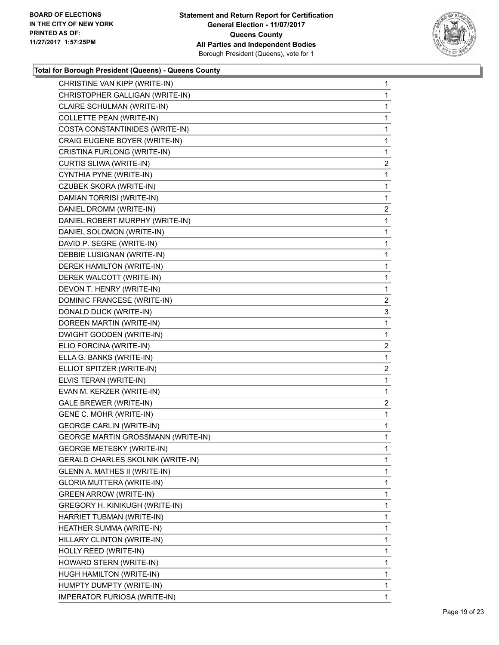

| CHRISTINE VAN KIPP (WRITE-IN)             | $\mathbf{1}$   |
|-------------------------------------------|----------------|
| CHRISTOPHER GALLIGAN (WRITE-IN)           | 1.             |
| CLAIRE SCHULMAN (WRITE-IN)                | 1              |
| COLLETTE PEAN (WRITE-IN)                  | 1              |
| COSTA CONSTANTINIDES (WRITE-IN)           | 1              |
| CRAIG EUGENE BOYER (WRITE-IN)             | 1              |
| CRISTINA FURLONG (WRITE-IN)               | 1              |
| CURTIS SLIWA (WRITE-IN)                   | 2              |
| CYNTHIA PYNE (WRITE-IN)                   | 1              |
| <b>CZUBEK SKORA (WRITE-IN)</b>            | 1              |
| DAMIAN TORRISI (WRITE-IN)                 | 1.             |
| DANIEL DROMM (WRITE-IN)                   | $\overline{2}$ |
| DANIEL ROBERT MURPHY (WRITE-IN)           | 1              |
| DANIEL SOLOMON (WRITE-IN)                 | $\mathbf{1}$   |
| DAVID P. SEGRE (WRITE-IN)                 | 1              |
| DEBBIE LUSIGNAN (WRITE-IN)                | 1              |
| <b>DEREK HAMILTON (WRITE-IN)</b>          | 1.             |
| DEREK WALCOTT (WRITE-IN)                  | 1              |
| DEVON T. HENRY (WRITE-IN)                 | 1              |
| DOMINIC FRANCESE (WRITE-IN)               | 2              |
| DONALD DUCK (WRITE-IN)                    | 3              |
| DOREEN MARTIN (WRITE-IN)                  | 1              |
| DWIGHT GOODEN (WRITE-IN)                  | 1.             |
| ELIO FORCINA (WRITE-IN)                   | $\overline{2}$ |
| ELLA G. BANKS (WRITE-IN)                  | 1              |
| ELLIOT SPITZER (WRITE-IN)                 | 2              |
| ELVIS TERAN (WRITE-IN)                    | 1              |
| EVAN M. KERZER (WRITE-IN)                 | 1              |
| <b>GALE BREWER (WRITE-IN)</b>             | $\mathbf{2}$   |
| GENE C. MOHR (WRITE-IN)                   | $\mathbf 1$    |
| <b>GEORGE CARLIN (WRITE-IN)</b>           | 1              |
| <b>GEORGE MARTIN GROSSMANN (WRITE-IN)</b> | 1              |
| <b>GEORGE METESKY (WRITE-IN)</b>          | 1              |
| GERALD CHARLES SKOLNIK (WRITE-IN)         | 1              |
| GLENN A. MATHES II (WRITE-IN)             | 1              |
| GLORIA MUTTERA (WRITE-IN)                 | 1              |
| <b>GREEN ARROW (WRITE-IN)</b>             | 1              |
| GREGORY H. KINIKUGH (WRITE-IN)            | 1              |
| HARRIET TUBMAN (WRITE-IN)                 | 1              |
| HEATHER SUMMA (WRITE-IN)                  | 1              |
| HILLARY CLINTON (WRITE-IN)                | 1              |
| HOLLY REED (WRITE-IN)                     | 1              |
| HOWARD STERN (WRITE-IN)                   | 1              |
| HUGH HAMILTON (WRITE-IN)                  | 1              |
| HUMPTY DUMPTY (WRITE-IN)                  | 1              |
| IMPERATOR FURIOSA (WRITE-IN)              | 1              |
|                                           |                |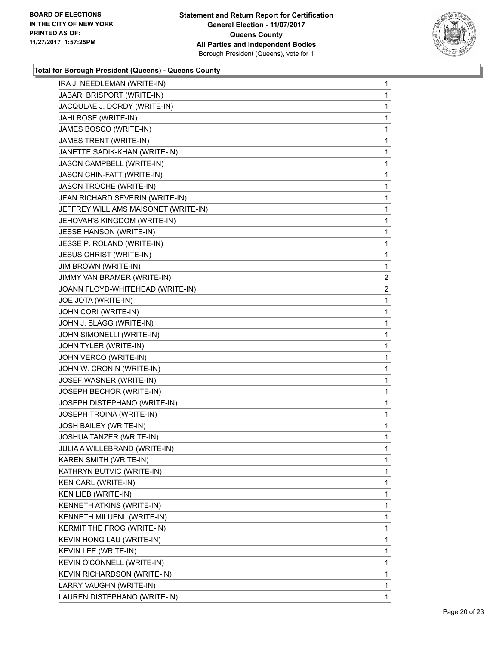

| IRA J. NEEDLEMAN (WRITE-IN)          | 1              |
|--------------------------------------|----------------|
| JABARI BRISPORT (WRITE-IN)           | 1              |
| JACQULAE J. DORDY (WRITE-IN)         | 1              |
| JAHI ROSE (WRITE-IN)                 | 1              |
| JAMES BOSCO (WRITE-IN)               | 1              |
| JAMES TRENT (WRITE-IN)               | 1              |
| JANETTE SADIK-KHAN (WRITE-IN)        | 1              |
| JASON CAMPBELL (WRITE-IN)            | 1              |
| JASON CHIN-FATT (WRITE-IN)           | 1              |
| JASON TROCHE (WRITE-IN)              | 1              |
| JEAN RICHARD SEVERIN (WRITE-IN)      | 1              |
| JEFFREY WILLIAMS MAISONET (WRITE-IN) | 1              |
| JEHOVAH'S KINGDOM (WRITE-IN)         | 1              |
| JESSE HANSON (WRITE-IN)              | 1              |
| JESSE P. ROLAND (WRITE-IN)           | 1              |
| <b>JESUS CHRIST (WRITE-IN)</b>       | 1              |
| JIM BROWN (WRITE-IN)                 | 1              |
| JIMMY VAN BRAMER (WRITE-IN)          | $\overline{2}$ |
| JOANN FLOYD-WHITEHEAD (WRITE-IN)     | 2              |
| JOE JOTA (WRITE-IN)                  | 1              |
| JOHN CORI (WRITE-IN)                 | 1              |
| JOHN J. SLAGG (WRITE-IN)             | 1              |
| JOHN SIMONELLI (WRITE-IN)            | 1              |
| JOHN TYLER (WRITE-IN)                | 1              |
| JOHN VERCO (WRITE-IN)                | 1              |
| JOHN W. CRONIN (WRITE-IN)            | 1              |
| JOSEF WASNER (WRITE-IN)              | 1              |
| JOSEPH BECHOR (WRITE-IN)             | 1              |
| JOSEPH DISTEPHANO (WRITE-IN)         | 1              |
| JOSEPH TROINA (WRITE-IN)             | 1              |
| JOSH BAILEY (WRITE-IN)               | 1              |
| JOSHUA TANZER (WRITE-IN)             | 1              |
| JULIA A WILLEBRAND (WRITE-IN)        | 1              |
| KAREN SMITH (WRITE-IN)               | 1              |
| KATHRYN BUTVIC (WRITE-IN)            | 1              |
| <b>KEN CARL (WRITE-IN)</b>           | 1              |
| KEN LIEB (WRITE-IN)                  | 1              |
| KENNETH ATKINS (WRITE-IN)            | 1              |
| KENNETH MILUENL (WRITE-IN)           | 1              |
| KERMIT THE FROG (WRITE-IN)           | 1              |
| KEVIN HONG LAU (WRITE-IN)            | 1              |
| KEVIN LEE (WRITE-IN)                 | 1              |
| KEVIN O'CONNELL (WRITE-IN)           | 1              |
| KEVIN RICHARDSON (WRITE-IN)          | 1              |
| LARRY VAUGHN (WRITE-IN)              | 1              |
| LAUREN DISTEPHANO (WRITE-IN)         | 1              |
|                                      |                |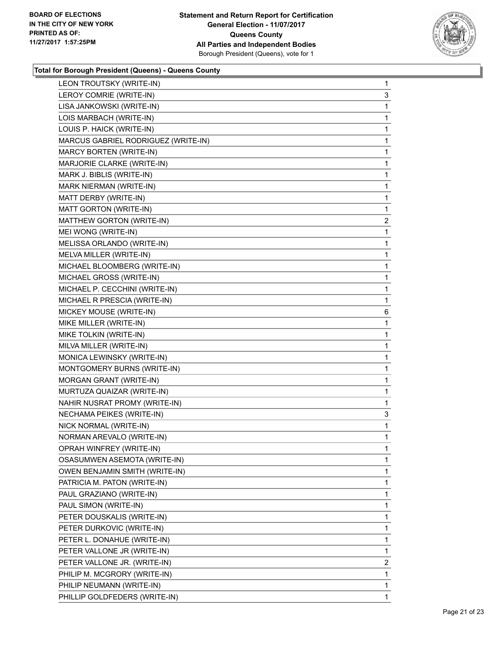

| LEON TROUTSKY (WRITE-IN)            | $\mathbf 1$  |
|-------------------------------------|--------------|
| LEROY COMRIE (WRITE-IN)             | 3            |
| LISA JANKOWSKI (WRITE-IN)           | 1            |
| LOIS MARBACH (WRITE-IN)             | $\mathbf 1$  |
| LOUIS P. HAICK (WRITE-IN)           | 1            |
| MARCUS GABRIEL RODRIGUEZ (WRITE-IN) | 1            |
| MARCY BORTEN (WRITE-IN)             | 1            |
| MARJORIE CLARKE (WRITE-IN)          | 1            |
| MARK J. BIBLIS (WRITE-IN)           | 1            |
| MARK NIERMAN (WRITE-IN)             | $\mathbf 1$  |
| MATT DERBY (WRITE-IN)               | 1            |
| MATT GORTON (WRITE-IN)              | 1            |
| MATTHEW GORTON (WRITE-IN)           | 2            |
| MEI WONG (WRITE-IN)                 | 1            |
| MELISSA ORLANDO (WRITE-IN)          | 1            |
| MELVA MILLER (WRITE-IN)             | $\mathbf 1$  |
| MICHAEL BLOOMBERG (WRITE-IN)        | 1            |
| MICHAEL GROSS (WRITE-IN)            | 1            |
| MICHAEL P. CECCHINI (WRITE-IN)      | 1            |
| MICHAEL R PRESCIA (WRITE-IN)        | 1            |
| MICKEY MOUSE (WRITE-IN)             | 6            |
| MIKE MILLER (WRITE-IN)              | $\mathbf 1$  |
| MIKE TOLKIN (WRITE-IN)              | 1            |
| MILVA MILLER (WRITE-IN)             | 1            |
| MONICA LEWINSKY (WRITE-IN)          | 1            |
| MONTGOMERY BURNS (WRITE-IN)         | 1            |
| MORGAN GRANT (WRITE-IN)             | 1            |
| MURTUZA QUAIZAR (WRITE-IN)          | $\mathbf 1$  |
| NAHIR NUSRAT PROMY (WRITE-IN)       | 1            |
| NECHAMA PEIKES (WRITE-IN)           | 3            |
| NICK NORMAL (WRITE-IN)              | $\mathbf 1$  |
| NORMAN AREVALO (WRITE-IN)           | 1            |
| OPRAH WINFREY (WRITE-IN)            | 1            |
| OSASUMWEN ASEMOTA (WRITE-IN)        | 1            |
| OWEN BENJAMIN SMITH (WRITE-IN)      | 1            |
| PATRICIA M. PATON (WRITE-IN)        | 1            |
| PAUL GRAZIANO (WRITE-IN)            | 1            |
| PAUL SIMON (WRITE-IN)               | 1            |
| PETER DOUSKALIS (WRITE-IN)          | 1            |
| PETER DURKOVIC (WRITE-IN)           | 1            |
| PETER L. DONAHUE (WRITE-IN)         | 1            |
| PETER VALLONE JR (WRITE-IN)         | 1            |
| PETER VALLONE JR. (WRITE-IN)        | 2            |
| PHILIP M. MCGRORY (WRITE-IN)        | 1            |
| PHILIP NEUMANN (WRITE-IN)           | $\mathbf 1$  |
| PHILLIP GOLDFEDERS (WRITE-IN)       | $\mathbf{1}$ |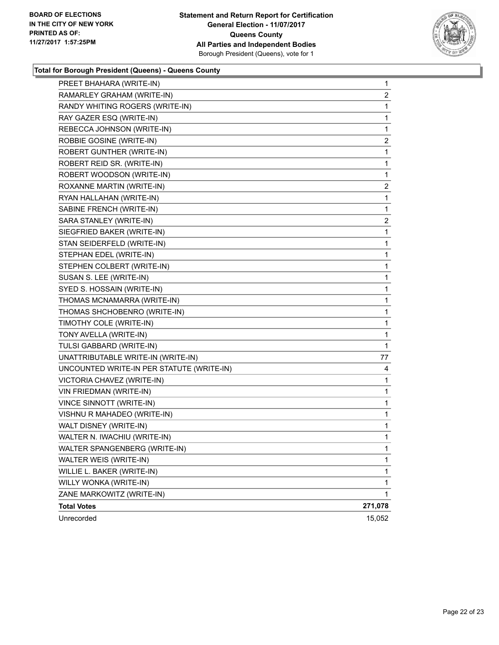

٠

| PREET BHAHARA (WRITE-IN)                  | $\mathbf 1$    |
|-------------------------------------------|----------------|
| RAMARLEY GRAHAM (WRITE-IN)                | $\overline{2}$ |
| RANDY WHITING ROGERS (WRITE-IN)           | 1              |
| RAY GAZER ESQ (WRITE-IN)                  | 1              |
| REBECCA JOHNSON (WRITE-IN)                | 1              |
| ROBBIE GOSINE (WRITE-IN)                  | $\mathbf{2}$   |
| ROBERT GUNTHER (WRITE-IN)                 | 1              |
| ROBERT REID SR. (WRITE-IN)                | 1              |
| ROBERT WOODSON (WRITE-IN)                 | 1              |
| ROXANNE MARTIN (WRITE-IN)                 | 2              |
| RYAN HALLAHAN (WRITE-IN)                  | 1              |
| SABINE FRENCH (WRITE-IN)                  | 1              |
| SARA STANLEY (WRITE-IN)                   | 2              |
| SIEGFRIED BAKER (WRITE-IN)                | 1              |
| STAN SEIDERFELD (WRITE-IN)                | 1              |
| STEPHAN EDEL (WRITE-IN)                   | 1              |
| STEPHEN COLBERT (WRITE-IN)                | 1              |
| SUSAN S. LEE (WRITE-IN)                   | 1              |
| SYED S. HOSSAIN (WRITE-IN)                | 1              |
| THOMAS MCNAMARRA (WRITE-IN)               | 1              |
| THOMAS SHCHOBENRO (WRITE-IN)              | 1              |
| TIMOTHY COLE (WRITE-IN)                   | 1              |
| TONY AVELLA (WRITE-IN)                    | 1              |
| TULSI GABBARD (WRITE-IN)                  | 1              |
| UNATTRIBUTABLE WRITE-IN (WRITE-IN)        | 77             |
| UNCOUNTED WRITE-IN PER STATUTE (WRITE-IN) | 4              |
| VICTORIA CHAVEZ (WRITE-IN)                | 1              |
| VIN FRIEDMAN (WRITE-IN)                   | 1              |
| VINCE SINNOTT (WRITE-IN)                  | 1              |
| VISHNU R MAHADEO (WRITE-IN)               | 1              |
| WALT DISNEY (WRITE-IN)                    | 1              |
| WALTER N. IWACHIU (WRITE-IN)              | 1              |
| WALTER SPANGENBERG (WRITE-IN)             | 1              |
| WALTER WEIS (WRITE-IN)                    | 1              |
| WILLIE L. BAKER (WRITE-IN)                | 1              |
| WILLY WONKA (WRITE-IN)                    | 1              |
| ZANE MARKOWITZ (WRITE-IN)                 | 1              |
| <b>Total Votes</b>                        | 271,078        |
| Unrecorded                                | 15,052         |